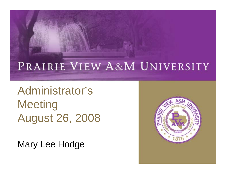#### PRAIRIE VIEW A&M UNIVERSITY

Administrator's **Meeting** August 26, 2008

Mary Lee Hodge

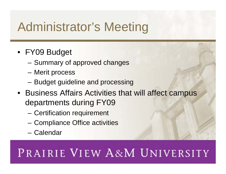# Administrator's Meeting

- FY09 Budget
	- Summary of approved changes
	- Merit process
	- Budget guideline and processing
- Business Affairs Activities that will affect campus departments during FY09
	- Certification requirement
	- Compliance Office activities
	- Calendar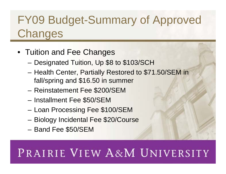#### FY09 Budget-Summary of Approved **Changes**

- Tuition and Fee Changes
	- Designated Tuition, Up \$8 to \$103/SCH
	- Health Center, Partially Restored to \$71.50/SEM in fall/spring and \$16.50 in summer
	- Reinstatement Fee \$200/SEM
	- Installment Fee \$50/SEM
	- Loan Processing Fee \$100/SEM
	- Biology Incidental Fee \$20/Course
	- Band Fee \$50/SEM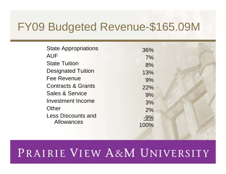#### FY09 Budgeted Revenue-\$165.09M

| <b>State Appropriations</b>   | 36%   |  |
|-------------------------------|-------|--|
| <b>AUF</b>                    | 7%    |  |
| <b>State Tuition</b>          | 8%    |  |
| <b>Designated Tuition</b>     | 13%   |  |
| <b>Fee Revenue</b>            | 9%    |  |
| <b>Contracts &amp; Grants</b> | 22%   |  |
| <b>Sales &amp; Service</b>    | 9%    |  |
| <b>Investment Income</b>      | 3%    |  |
| Other                         | 2%    |  |
| <b>Less Discounts and</b>     | $-9%$ |  |
| <b>Allowances</b>             | 100%  |  |
|                               |       |  |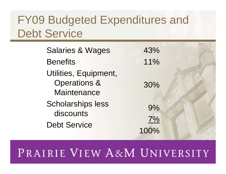#### FY09 Budgeted Expenditures and Debt Service

| <b>Salaries &amp; Wages</b>                                            | 43%      |  |
|------------------------------------------------------------------------|----------|--|
| <b>Benefits</b>                                                        | 11%      |  |
| Utilities, Equipment,<br><b>Operations &amp;</b><br><b>Maintenance</b> | 30%      |  |
| <b>Scholarships less</b><br>discounts<br><b>Debt Service</b>           | 9%<br>7% |  |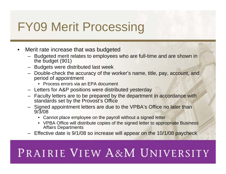# FY09 Merit Processing

- Merit rate increase that was budgeted
	- Budgeted merit relates to employees who are full-time and are shown in the budget (901)
	- Budgets were distributed last week
	- Double-check the accuracy of the worker's name, title, pay, account, and period of appointment
		- Process errors via an EPA document
	- Letters for A&P positions were distributed yesterday
	- Faculty letters are to be prepared by the department in accordance with standards set by the Provost's Office
	- Signed appointment letters are due to the VPBA's Office no later than 9/3/08
		- Cannot place employee on the payroll without a signed letter
		- VPBA Office will distribute copies of the signed letter to appropriate Business Affairs Departments
	- Effective date is 9/1/08 so increase will appear on the 10/1/08 paycheck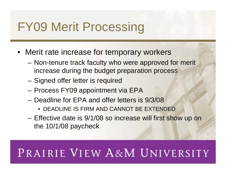# FY09 Merit Processing

- Merit rate increase for temporary workers
	- Non-tenure track faculty who were approved for merit increase during the budget preparation process
	- Signed offer letter is required
	- Process FY09 appointment via EPA
	- Deadline for EPA and offer letters is 9/3/08
		- DEADLINE IS FIRM AND CANNOT BE EXTENDED
	- Effective date is 9/1/08 so increase will first show up on the 10/1/08 paycheck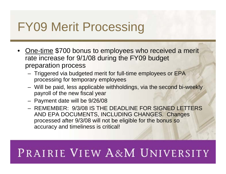# FY09 Merit Processing

- One-time \$700 bonus to employees who received a merit rate increase for 9/1/08 during the FY09 budget preparation process
	- Triggered via budgeted merit for full-time employees or EPA processing for temporary employees
	- Will be paid, less applicable withholdings, via the second bi-weekly payroll of the new fiscal year
	- Payment date will be 9/26/08
	- REMEMBER: 9/3/08 IS THE DEADLINE FOR SIGNED LETTERS AND EPA DOCUMENTS, INCLUDING CHANGES. Changes processed after 9/3/08 will not be eligible for the bonus so accuracy and timeliness is critical!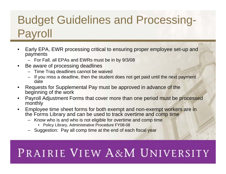### Budget Guidelines and Processing-Payroll

- Early EPA, EWR processing critical to ensuring proper employee set-up and payments
	- For Fall, all EPAs and EWRs must be in by 9/3/08
- Be aware of processing deadlines
	- Time Traq deadlines cannot be waived
	- If you miss a deadline, then the student does not get paid until the next payment date
- Requests for Supplemental Pay must be approved in advance of the beginning of the work
- Payroll Adjustment Forms that cover more than one period must be processed monthly
- Employee time sheet forms for both exempt and non-exempt workers are in the Forms Library and can be used to track overtime and comp time
	- Know who is and who is not eligible for overtime and comp time
		- Policy Library, Administrative Procedure FY08-08
	- Suggestion: Pay all comp time at the end of each fiscal year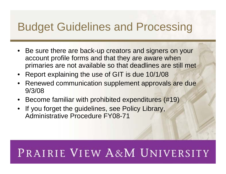#### Budget Guidelines and Processing

- Be sure there are back-up creators and signers on your account profile forms and that they are aware when primaries are not available so that deadlines are still met
- Report explaining the use of GIT is due 10/1/08
- Renewed communication supplement approvals are due 9/3/08
- Become familiar with prohibited expenditures (#19)
- If you forget the guidelines, see Policy Library, Administrative Procedure FY08-71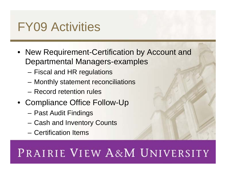# FY09 Activities

- New Requirement-Certification by Account and Departmental Managers-examples
	- Fiscal and HR regulations
	- Monthly statement reconciliations
	- Record retention rules
- Compliance Office Follow-Up
	- Past Audit Findings
	- Cash and Inventory Counts
	- Certification Items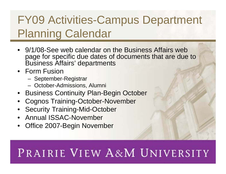#### FY09 Activities-Campus Department Planning Calendar

- 9/1/08-See web calendar on the Business Affairs web page for specific due dates of documents that are due to Business Affairs' departments
- Form Fusion
	- September-Registrar
	- October-Admissions, Alumni
- Business Continuity Plan-Begin October
- Cognos Training-October-November
- Security Training-Mid-October
- Annual ISSAC-November
- Office 2007-Begin November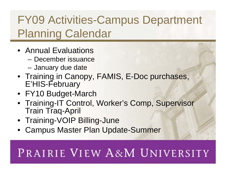#### FY09 Activities-Campus Department Planning Calendar

- Annual Evaluations
	- December issuance
	- January due date
- Training in Canopy, FAMIS, E-Doc purchases, E'HIS-February
- FY10 Budget-March
- Training-IT Control, Worker's Comp, Supervisor Train Traq-April
- Training-VOIP Billing-June
- Campus Master Plan Update-Summer